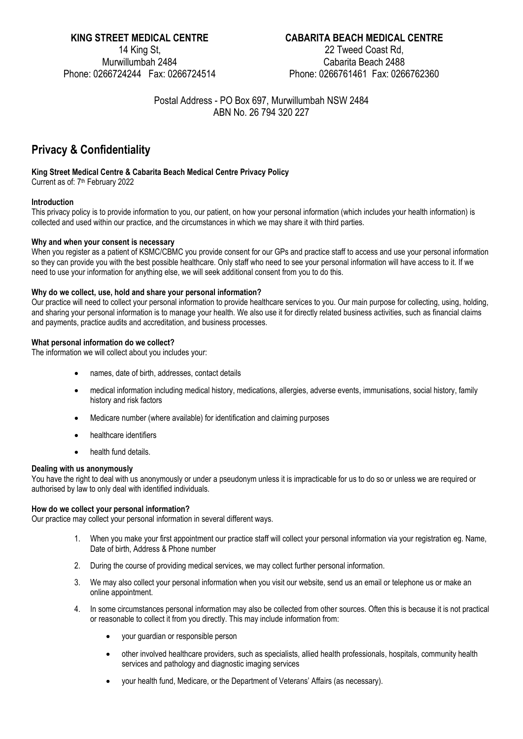14 King St, Murwillumbah 2484

# **KING STREET MEDICAL CENTRE CABARITA BEACH MEDICAL CENTRE**

22 Tweed Coast Rd, Cabarita Beach 2488 Phone: 0266724244 Fax: 0266724514 Phone: 0266761461 Fax: 0266762360

> Postal Address - PO Box 697, Murwillumbah NSW 2484 ABN No. 26 794 320 227

# **Privacy & Confidentiality**

# **King Street Medical Centre & Cabarita Beach Medical Centre Privacy Policy**

Current as of: 7<sup>th</sup> February 2022

## **Introduction**

This privacy policy is to provide information to you, our patient, on how your personal information (which includes your health information) is collected and used within our practice, and the circumstances in which we may share it with third parties.

## **Why and when your consent is necessary**

When you register as a patient of KSMC/CBMC you provide consent for our GPs and practice staff to access and use your personal information so they can provide you with the best possible healthcare. Only staff who need to see your personal information will have access to it. If we need to use your information for anything else, we will seek additional consent from you to do this.

## **Why do we collect, use, hold and share your personal information?**

Our practice will need to collect your personal information to provide healthcare services to you. Our main purpose for collecting, using, holding, and sharing your personal information is to manage your health. We also use it for directly related business activities, such as financial claims and payments, practice audits and accreditation, and business processes.

# **What personal information do we collect?**

The information we will collect about you includes your:

- names, date of birth, addresses, contact details
- medical information including medical history, medications, allergies, adverse events, immunisations, social history, family history and risk factors
- Medicare number (where available) for identification and claiming purposes
- healthcare identifiers
- health fund details.

## **Dealing with us anonymously**

You have the right to deal with us anonymously or under a pseudonym unless it is impracticable for us to do so or unless we are required or authorised by law to only deal with identified individuals.

## **How do we collect your personal information?**

Our practice may collect your personal information in several different ways.

- 1. When you make your first appointment our practice staff will collect your personal information via your registration eg. Name, Date of birth, Address & Phone number
- 2. During the course of providing medical services, we may collect further personal information.
- 3. We may also collect your personal information when you visit our website, send us an email or telephone us or make an online appointment.
- 4. In some circumstances personal information may also be collected from other sources. Often this is because it is not practical or reasonable to collect it from you directly. This may include information from:
	- your guardian or responsible person
	- other involved healthcare providers, such as specialists, allied health professionals, hospitals, community health services and pathology and diagnostic imaging services
	- your health fund, Medicare, or the Department of Veterans' Affairs (as necessary).